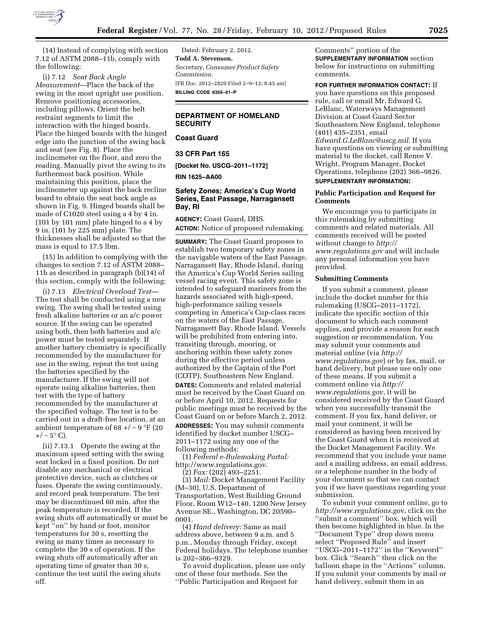

(14) Instead of complying with section 7.12 of ASTM 2088–11b, comply with the following:

(i) 7.12 *Seat Back Angle Measurement*—Place the back of the swing in the most upright use position. Remove positioning accessories, including pillows. Orient the belt restraint segments to limit the interaction with the hinged boards. Place the hinged boards with the hinged edge into the junction of the swing back and seat (see Fig. 8). Place the inclinometer on the floor, and zero the reading. Manually pivot the swing to its furthermost back position. While maintaining this position, place the inclinometer up against the back recline board to obtain the seat back angle as shown in Fig. 9. Hinged boards shall be made of C1020 steel using a 4 by 4 in. (101 by 101 mm) plate hinged to a 4 by 9 in. (101 by 225 mm) plate. The thicknesses shall be adjusted so that the mass is equal to 17.5 lbm.

(15) In addition to complying with the changes to section 7.12 of ASTM 2088– 11b as described in paragraph (b)(14) of this section, comply with the following:

(i) 7.13 *Electrical Overload Test*— The test shall be conducted using a new swing. The swing shall be tested using fresh alkaline batteries or an a/c power source. If the swing can be operated using both, then both batteries and a/c power must be tested separately. If another battery chemistry is specifically recommended by the manufacturer for use in the swing, repeat the test using the batteries specified by the manufacturer. If the swing will not operate using alkaline batteries, then test with the type of battery recommended by the manufacturer at the specified voltage. The test is to be carried out in a draft-free location, at an ambient temperature of 68 +/ $-9$  °F (20  $+/- 5^{\circ}$  C).

(ii) 7.13.1 Operate the swing at the maximum speed setting with the swing seat locked in a fixed position. Do not disable any mechanical or electrical protective device, such as clutches or fuses. Operate the swing continuously, and record peak temperature. The test may be discontinued 60 min. after the peak temperature is recorded. If the swing shuts off automatically or must be kept ''on'' by hand or foot, monitor temperatures for 30 s, resetting the swing as many times as necessary to complete the 30 s of operation. If the swing shuts off automatically after an operating time of greater than 30 s, continue the test until the swing shuts off.

Dated: February 2, 2012. **Todd A. Stevenson,**  *Secretary, Consumer Product Safety Commission.*  [FR Doc. 2012–2820 Filed 2–9–12; 8:45 am] **BILLING CODE 6355–01–P** 

## **DEPARTMENT OF HOMELAND SECURITY**

**Coast Guard** 

**33 CFR Part 165** 

**[Docket No. USCG–2011–1172]** 

**RIN 1625–AA00** 

## **Safety Zones; America's Cup World Series, East Passage, Narragansett Bay, RI**

**AGENCY:** Coast Guard, DHS. **ACTION:** Notice of proposed rulemaking.

**SUMMARY:** The Coast Guard proposes to establish two temporary safety zones in the navigable waters of the East Passage, Narragansett Bay, Rhode Island, during the America's Cup World Series sailing vessel racing event. This safety zone is intended to safeguard mariners from the hazards associated with high-speed, high-performance sailing vessels competing in America's Cup-class races on the waters of the East Passage, Narragansett Bay, Rhode Island. Vessels will be prohibited from entering into, transiting through, mooring, or anchoring within these safety zones during the effective period unless authorized by the Captain of the Port (COTP), Southeastern New England. **DATES:** Comments and related material must be received by the Coast Guard on or before April 10, 2012. Requests for public meetings must be received by the Coast Guard on or before March 2, 2012. **ADDRESSES:** You may submit comments identified by docket number USCG– 2011–1172 using any one of the following methods:

(1) *Federal e-Rulemaking Portal:*  [http://www.regulations.gov.](http://www.regulations.gov) 

(2) *Fax:* (202) 493–2251.

(3) *Mail:* Docket Management Facility (M–30), U.S. Department of Transportation, West Building Ground Floor, Room W12–140, 1200 New Jersey Avenue SE., Washington, DC 20590– 0001.

(4) *Hand delivery:* Same as mail address above, between 9 a.m. and 5 p.m., Monday through Friday, except Federal holidays. The telephone number is 202–366–9329.

To avoid duplication, please use only one of these four methods. See the ''Public Participation and Request for

Comments'' portion of the **SUPPLEMENTARY INFORMATION** section below for instructions on submitting comments.

**FOR FURTHER INFORMATION CONTACT:** If

you have questions on this proposed rule, call or email Mr. Edward G. LeBlanc, Waterways Management Division at Coast Guard Sector Southeastern New England, telephone (401) 435–2351, email *[Edward.G.LeBlanc@uscg.mil](mailto:Edward.G.LeBlanc@uscg.mil)*. If you have questions on viewing or submitting material to the docket, call Renee V. Wright, Program Manager, Docket Operations, telephone (202) 366–9826.

# **SUPPLEMENTARY INFORMATION:**

### **Public Participation and Request for Comments**

We encourage you to participate in this rulemaking by submitting comments and related materials. All comments received will be posted without change to *[http://](http://www.regulations.gov) [www.regulations.gov](http://www.regulations.gov)* and will include any personal information you have provided.

## **Submitting Comments**

If you submit a comment, please include the docket number for this rulemaking (USCG–2011–1172), indicate the specific section of this document to which each comment applies, and provide a reason for each suggestion or recommendation. You may submit your comments and material online (via *[http://](http://www.regulations.gov)  [www.regulations.gov](http://www.regulations.gov)*) or by fax, mail, or hand delivery, but please use only one of these means. If you submit a comment online via *[http://](http://www.regulations.gov) [www.regulations.gov](http://www.regulations.gov)*, it will be considered received by the Coast Guard when you successfully transmit the comment. If you fax, hand deliver, or mail your comment, it will be considered as having been received by the Coast Guard when it is received at the Docket Management Facility. We recommend that you include your name and a mailing address, an email address, or a telephone number in the body of your document so that we can contact you if we have questions regarding your submission.

To submit your comment online, go to *<http://www.regulations.gov>*, click on the ''submit a comment'' box, which will then become highlighted in blue. In the ''Document Type'' drop down menu select ''Proposed Rule'' and insert ''USCG–2011–1172'' in the ''Keyword'' box. Click ''Search'' then click on the balloon shape in the ''Actions'' column. If you submit your comments by mail or hand delivery, submit them in an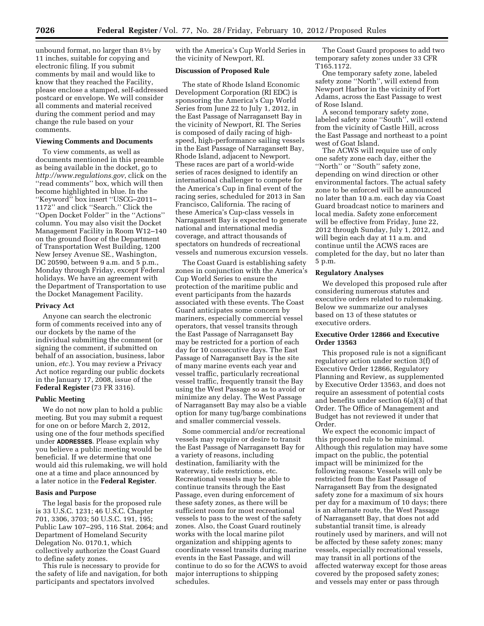unbound format, no larger than  $8\frac{1}{2}$  by 11 inches, suitable for copying and electronic filing. If you submit comments by mail and would like to know that they reached the Facility, please enclose a stamped, self-addressed postcard or envelope. We will consider all comments and material received during the comment period and may change the rule based on your comments.

### **Viewing Comments and Documents**

To view comments, as well as documents mentioned in this preamble as being available in the docket, go to *<http://www.regulations.gov>*, click on the ''read comments'' box, which will then become highlighted in blue. In the ''Keyword'' box insert ''USCG–2011– 1172'' and click ''Search.'' Click the ''Open Docket Folder'' in the ''Actions'' column. You may also visit the Docket Management Facility in Room W12–140 on the ground floor of the Department of Transportation West Building, 1200 New Jersey Avenue SE., Washington, DC 20590, between 9 a.m. and 5 p.m., Monday through Friday, except Federal holidays. We have an agreement with the Department of Transportation to use the Docket Management Facility.

## **Privacy Act**

Anyone can search the electronic form of comments received into any of our dockets by the name of the individual submitting the comment (or signing the comment, if submitted on behalf of an association, business, labor union, *etc.*). You may review a Privacy Act notice regarding our public dockets in the January 17, 2008, issue of the **Federal Register** (73 FR 3316).

### **Public Meeting**

We do not now plan to hold a public meeting. But you may submit a request for one on or before March 2, 2012, using one of the four methods specified under **ADDRESSES**. Please explain why you believe a public meeting would be beneficial. If we determine that one would aid this rulemaking, we will hold one at a time and place announced by a later notice in the **Federal Register**.

## **Basis and Purpose**

The legal basis for the proposed rule is 33 U.S.C. 1231; 46 U.S.C. Chapter 701, 3306, 3703; 50 U.S.C. 191, 195; Public Law 107–295, 116 Stat. 2064; and Department of Homeland Security Delegation No. 0170.1, which collectively authorize the Coast Guard to define safety zones.

This rule is necessary to provide for the safety of life and navigation, for both participants and spectators involved

with the America's Cup World Series in the vicinity of Newport, RI.

## **Discussion of Proposed Rule**

The state of Rhode Island Economic Development Corporation (RI EDC) is sponsoring the America's Cup World Series from June 22 to July 1, 2012, in the East Passage of Narragansett Bay in the vicinity of Newport, RI. The Series is composed of daily racing of highspeed, high-performance sailing vessels in the East Passage of Narragansett Bay, Rhode Island, adjacent to Newport. These races are part of a world-wide series of races designed to identify an international challenger to compete for the America's Cup in final event of the racing series, scheduled for 2013 in San Francisco, California. The racing of these America's Cup-class vessels in Narragansett Bay is expected to generate national and international media coverage, and attract thousands of spectators on hundreds of recreational vessels and numerous excursion vessels.

The Coast Guard is establishing safety zones in conjunction with the America's Cup World Series to ensure the protection of the maritime public and event participants from the hazards associated with these events. The Coast Guard anticipates some concern by mariners, especially commercial vessel operators, that vessel transits through the East Passage of Narragansett Bay may be restricted for a portion of each day for 10 consecutive days. The East Passage of Narragansett Bay is the site of many marine events each year and vessel traffic, particularly recreational vessel traffic, frequently transit the Bay using the West Passage so as to avoid or minimize any delay. The West Passage of Narragansett Bay may also be a viable option for many tug/barge combinations and smaller commercial vessels.

Some commercial and/or recreational vessels may require or desire to transit the East Passage of Narragansett Bay for a variety of reasons, including destination, familiarity with the waterway, tide restrictions, etc. Recreational vessels may be able to continue transits through the East Passage, even during enforcement of these safety zones, as there will be sufficient room for most recreational vessels to pass to the west of the safety zones. Also, the Coast Guard routinely works with the local marine pilot organization and shipping agents to coordinate vessel transits during marine events in the East Passage, and will continue to do so for the ACWS to avoid major interruptions to shipping schedules.

The Coast Guard proposes to add two temporary safety zones under 33 CFR T165.1172.

One temporary safety zone, labeled safety zone ''North'', will extend from Newport Harbor in the vicinity of Fort Adams, across the East Passage to west of Rose Island.

A second temporary safety zone, labeled safety zone ''South'', will extend from the vicinity of Castle Hill, across the East Passage and northeast to a point west of Goat Island.

The ACWS will require use of only one safety zone each day, either the ''North'' or ''South'' safety zone, depending on wind direction or other environmental factors. The actual safety zone to be enforced will be announced no later than 10 a.m. each day via Coast Guard broadcast notice to mariners and local media. Safety zone enforcement will be effective from Friday, June 22, 2012 through Sunday, July 1, 2012, and will begin each day at 11 a.m. and continue until the ACWS races are completed for the day, but no later than 5 p.m.

## **Regulatory Analyses**

We developed this proposed rule after considering numerous statutes and executive orders related to rulemaking. Below we summarize our analyses based on 13 of these statutes or executive orders.

## **Executive Order 12866 and Executive Order 13563**

This proposed rule is not a significant regulatory action under section 3(f) of Executive Order 12866, Regulatory Planning and Review, as supplemented by Executive Order 13563, and does not require an assessment of potential costs and benefits under section 6(a)(3) of that Order. The Office of Management and Budget has not reviewed it under that Order.

We expect the economic impact of this proposed rule to be minimal. Although this regulation may have some impact on the public, the potential impact will be minimized for the following reasons: Vessels will only be restricted from the East Passage of Narragansett Bay from the designated safety zone for a maximum of six hours per day for a maximum of 10 days; there is an alternate route, the West Passage of Narragansett Bay, that does not add substantial transit time, is already routinely used by mariners, and will not be affected by these safety zones; many vessels, especially recreational vessels, may transit in all portions of the affected waterway except for those areas covered by the proposed safety zones; and vessels may enter or pass through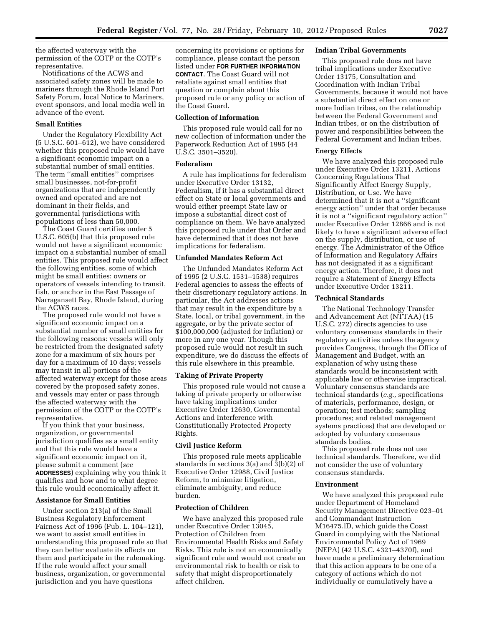the affected waterway with the permission of the COTP or the COTP's representative.

Notifications of the ACWS and associated safety zones will be made to mariners through the Rhode Island Port Safety Forum, local Notice to Mariners, event sponsors, and local media well in advance of the event.

## **Small Entities**

Under the Regulatory Flexibility Act (5 U.S.C. 601–612), we have considered whether this proposed rule would have a significant economic impact on a substantial number of small entities. The term ''small entities'' comprises small businesses, not-for-profit organizations that are independently owned and operated and are not dominant in their fields, and governmental jurisdictions with populations of less than 50,000.

The Coast Guard certifies under 5 U.S.C. 605(b) that this proposed rule would not have a significant economic impact on a substantial number of small entities. This proposed rule would affect the following entities, some of which might be small entities: owners or operators of vessels intending to transit, fish, or anchor in the East Passage of Narragansett Bay, Rhode Island, during the ACWS races.

The proposed rule would not have a significant economic impact on a substantial number of small entities for the following reasons: vessels will only be restricted from the designated safety zone for a maximum of six hours per day for a maximum of 10 days; vessels may transit in all portions of the affected waterway except for those areas covered by the proposed safety zones, and vessels may enter or pass through the affected waterway with the permission of the COTP or the COTP's representative.

If you think that your business, organization, or governmental jurisdiction qualifies as a small entity and that this rule would have a significant economic impact on it, please submit a comment (*see*  **ADDRESSES**) explaining why you think it qualifies and how and to what degree this rule would economically affect it.

### **Assistance for Small Entities**

Under section 213(a) of the Small Business Regulatory Enforcement Fairness Act of 1996 (Pub. L. 104–121), we want to assist small entities in understanding this proposed rule so that they can better evaluate its effects on them and participate in the rulemaking. If the rule would affect your small business, organization, or governmental jurisdiction and you have questions

concerning its provisions or options for compliance, please contact the person listed under **FOR FURTHER INFORMATION CONTACT**. The Coast Guard will not retaliate against small entities that question or complain about this proposed rule or any policy or action of the Coast Guard.

#### **Collection of Information**

This proposed rule would call for no new collection of information under the Paperwork Reduction Act of 1995 (44 U.S.C. 3501–3520).

## **Federalism**

A rule has implications for federalism under Executive Order 13132, Federalism, if it has a substantial direct effect on State or local governments and would either preempt State law or impose a substantial direct cost of compliance on them. We have analyzed this proposed rule under that Order and have determined that it does not have implications for federalism.

### **Unfunded Mandates Reform Act**

The Unfunded Mandates Reform Act of 1995 (2 U.S.C. 1531–1538) requires Federal agencies to assess the effects of their discretionary regulatory actions. In particular, the Act addresses actions that may result in the expenditure by a State, local, or tribal government, in the aggregate, or by the private sector of \$100,000,000 (adjusted for inflation) or more in any one year. Though this proposed rule would not result in such expenditure, we do discuss the effects of this rule elsewhere in this preamble.

## **Taking of Private Property**

This proposed rule would not cause a taking of private property or otherwise have taking implications under Executive Order 12630, Governmental Actions and Interference with Constitutionally Protected Property Rights.

### **Civil Justice Reform**

This proposed rule meets applicable standards in sections 3(a) and 3(b)(2) of Executive Order 12988, Civil Justice Reform, to minimize litigation, eliminate ambiguity, and reduce burden.

## **Protection of Children**

We have analyzed this proposed rule under Executive Order 13045, Protection of Children from Environmental Health Risks and Safety Risks. This rule is not an economically significant rule and would not create an environmental risk to health or risk to safety that might disproportionately affect children.

### **Indian Tribal Governments**

This proposed rule does not have tribal implications under Executive Order 13175, Consultation and Coordination with Indian Tribal Governments, because it would not have a substantial direct effect on one or more Indian tribes, on the relationship between the Federal Government and Indian tribes, or on the distribution of power and responsibilities between the Federal Government and Indian tribes.

#### **Energy Effects**

We have analyzed this proposed rule under Executive Order 13211, Actions Concerning Regulations That Significantly Affect Energy Supply, Distribution, or Use. We have determined that it is not a ''significant energy action'' under that order because it is not a ''significant regulatory action'' under Executive Order 12866 and is not likely to have a significant adverse effect on the supply, distribution, or use of energy. The Administrator of the Office of Information and Regulatory Affairs has not designated it as a significant energy action. Therefore, it does not require a Statement of Energy Effects under Executive Order 13211.

### **Technical Standards**

The National Technology Transfer and Advancement Act (NTTAA) (15 U.S.C. 272) directs agencies to use voluntary consensus standards in their regulatory activities unless the agency provides Congress, through the Office of Management and Budget, with an explanation of why using these standards would be inconsistent with applicable law or otherwise impractical. Voluntary consensus standards are technical standards (*e.g.,* specifications of materials, performance, design, or operation; test methods; sampling procedures; and related management systems practices) that are developed or adopted by voluntary consensus standards bodies.

This proposed rule does not use technical standards. Therefore, we did not consider the use of voluntary consensus standards.

## **Environment**

We have analyzed this proposed rule under Department of Homeland Security Management Directive 023–01 and Commandant Instruction M16475.lD, which guide the Coast Guard in complying with the National Environmental Policy Act of 1969 (NEPA) (42 U.S.C. 4321–4370f), and have made a preliminary determination that this action appears to be one of a category of actions which do not individually or cumulatively have a